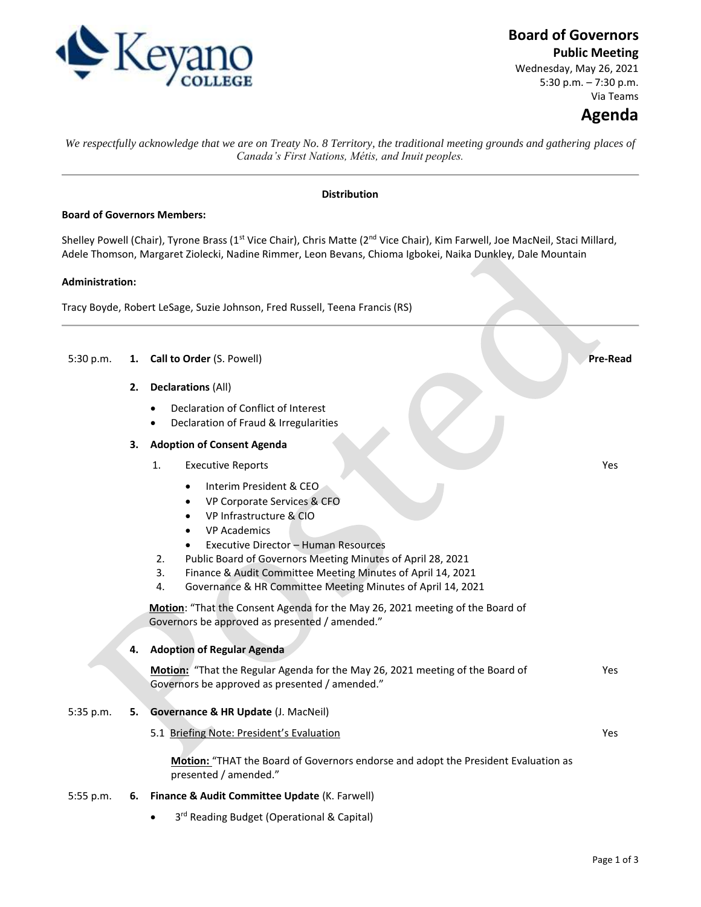

## **Board of Governors**

**Public Meeting**

Wednesday, May 26, 2021 5:30 p.m. – 7:30 p.m. Via Teams

# **Agenda**

Yes

*We respectfully acknowledge that we are on Treaty No. 8 Territory, the traditional meeting grounds and gathering places of Canada's First Nations, Métis, and Inuit peoples.*

#### **Distribution**

#### **Board of Governors Members:**

Shelley Powell (Chair), Tyrone Brass (1<sup>st</sup> Vice Chair), Chris Matte (2<sup>nd</sup> Vice Chair), Kim Farwell, Joe MacNeil, Staci Millard, Adele Thomson, Margaret Ziolecki, Nadine Rimmer, Leon Bevans, Chioma Igbokei, Naika Dunkley, Dale Mountain

#### **Administration:**

Tracy Boyde, Robert LeSage, Suzie Johnson, Fred Russell, Teena Francis (RS)

#### 5:30 p.m. **1. Call to Order** (S. Powell) **Pre-Read**

- **2. Declarations** (All)
	- Declaration of Conflict of Interest
	- Declaration of Fraud & Irregularities

#### **3. Adoption of Consent Agenda**

- 1. Executive Reports
	- Interim President & CEO
	- VP Corporate Services & CFO
	- VP Infrastructure & CIO
	- VP Academics
	- Executive Director Human Resources
- 2. Public Board of Governors Meeting Minutes of April 28, 2021
- 3. Finance & Audit Committee Meeting Minutes of April 14, 2021
- 4. Governance & HR Committee Meeting Minutes of April 14, 2021

**Motion**: "That the Consent Agenda for the May 26, 2021 meeting of the Board of Governors be approved as presented / amended."

#### **4. Adoption of Regular Agenda**

**Motion:** "That the Regular Agenda for the May 26, 2021 meeting of the Board of Governors be approved as presented / amended." Yes

#### 5:35 p.m. **5. Governance & HR Update** (J. MacNeil)

5.1 Briefing Note: President's Evaluation Yes

**Motion:** "THAT the Board of Governors endorse and adopt the President Evaluation as presented / amended."

#### 5:55 p.m. **6. Finance & Audit Committee Update** (K. Farwell)

• 3<sup>rd</sup> Reading Budget (Operational & Capital)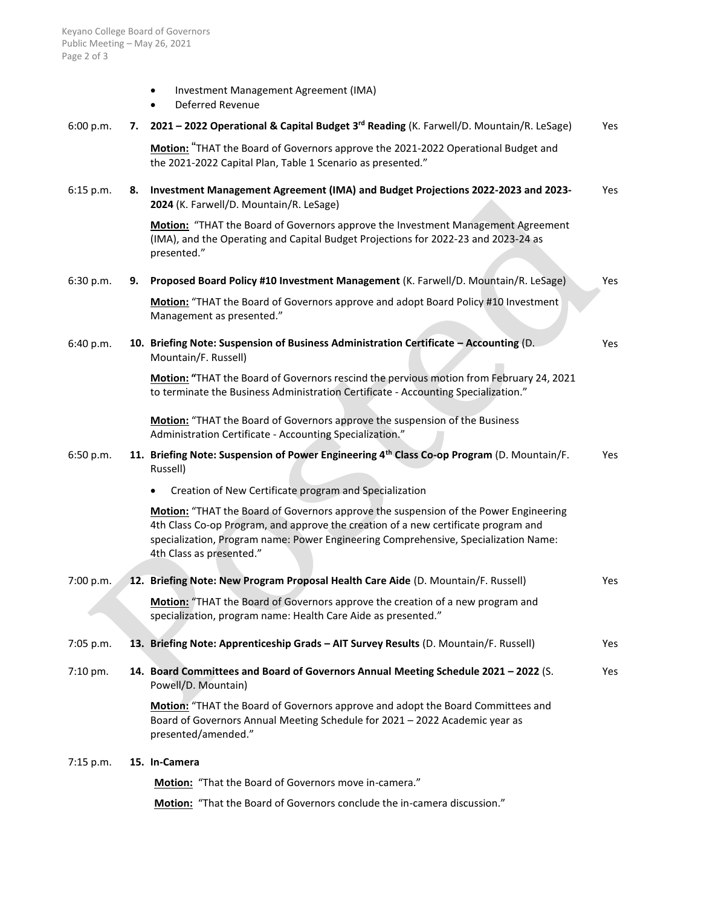|  | Investment Management Agreement (IMA) |  |
|--|---------------------------------------|--|
|--|---------------------------------------|--|

Deferred Revenue

| 6:00 p.m.  |    | 7. 2021 - 2022 Operational & Capital Budget 3 <sup>rd</sup> Reading (K. Farwell/D. Mountain/R. LeSage)                                                                                                                                                                                        | Yes |
|------------|----|-----------------------------------------------------------------------------------------------------------------------------------------------------------------------------------------------------------------------------------------------------------------------------------------------|-----|
|            |    | Motion: "THAT the Board of Governors approve the 2021-2022 Operational Budget and<br>the 2021-2022 Capital Plan, Table 1 Scenario as presented."                                                                                                                                              |     |
| 6:15 p.m.  | 8. | Investment Management Agreement (IMA) and Budget Projections 2022-2023 and 2023-<br>2024 (K. Farwell/D. Mountain/R. LeSage)                                                                                                                                                                   | Yes |
|            |    | Motion: "THAT the Board of Governors approve the Investment Management Agreement<br>(IMA), and the Operating and Capital Budget Projections for 2022-23 and 2023-24 as<br>presented."                                                                                                         |     |
| 6:30 p.m.  | 9. | Proposed Board Policy #10 Investment Management (K. Farwell/D. Mountain/R. LeSage)                                                                                                                                                                                                            | Yes |
|            |    | Motion: "THAT the Board of Governors approve and adopt Board Policy #10 Investment<br>Management as presented."                                                                                                                                                                               |     |
| 6:40 p.m.  |    | 10. Briefing Note: Suspension of Business Administration Certificate - Accounting (D.<br>Mountain/F. Russell)                                                                                                                                                                                 | Yes |
|            |    | Motion: "THAT the Board of Governors rescind the pervious motion from February 24, 2021<br>to terminate the Business Administration Certificate - Accounting Specialization."                                                                                                                 |     |
|            |    | Motion: "THAT the Board of Governors approve the suspension of the Business<br>Administration Certificate - Accounting Specialization."                                                                                                                                                       |     |
| 6:50 p.m.  |    | 11. Briefing Note: Suspension of Power Engineering 4th Class Co-op Program (D. Mountain/F.<br>Russell)                                                                                                                                                                                        | Yes |
|            |    | Creation of New Certificate program and Specialization                                                                                                                                                                                                                                        |     |
|            |    | Motion: "THAT the Board of Governors approve the suspension of the Power Engineering<br>4th Class Co-op Program, and approve the creation of a new certificate program and<br>specialization, Program name: Power Engineering Comprehensive, Specialization Name:<br>4th Class as presented." |     |
| 7:00 p.m.  |    | 12. Briefing Note: New Program Proposal Health Care Aide (D. Mountain/F. Russell)                                                                                                                                                                                                             | Yes |
|            |    | Motion: "THAT the Board of Governors approve the creation of a new program and<br>specialization, program name: Health Care Aide as presented."                                                                                                                                               |     |
| 7:05 p.m.  |    | 13. Briefing Note: Apprenticeship Grads - AIT Survey Results (D. Mountain/F. Russell)                                                                                                                                                                                                         | Yes |
| $7:10$ pm. |    | 14. Board Committees and Board of Governors Annual Meeting Schedule 2021 - 2022 (S.<br>Powell/D. Mountain)                                                                                                                                                                                    | Yes |
|            |    | Motion: "THAT the Board of Governors approve and adopt the Board Committees and<br>Board of Governors Annual Meeting Schedule for 2021 - 2022 Academic year as<br>presented/amended."                                                                                                         |     |
| 7:15 p.m.  |    | 15. In-Camera                                                                                                                                                                                                                                                                                 |     |
|            |    | Motion: "That the Board of Governors move in-camera."                                                                                                                                                                                                                                         |     |
|            |    |                                                                                                                                                                                                                                                                                               |     |

**Motion:** "That the Board of Governors conclude the in-camera discussion."